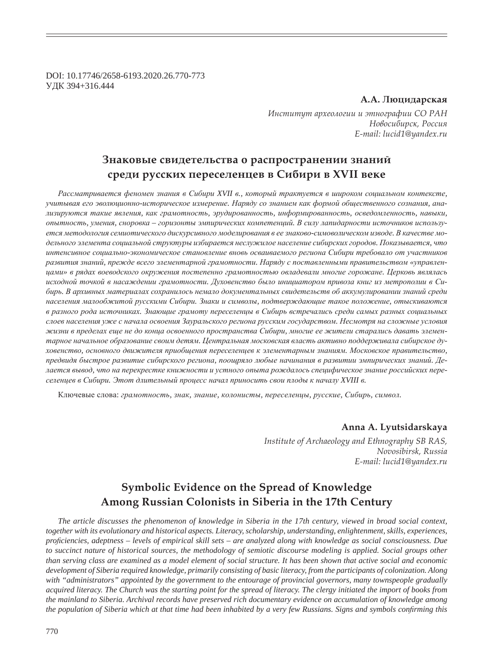DOI: 10.17746/2658-6193.2020.26.770-773 ɍȾɄ 394+316.444

#### $A.A.$  Люцидарская

Институт археологии и этнографии СО РАН  $H$ овосибирск, Россия *E-mail: lucid1@yandex.ru*

## $3$ наковые свидетельства о распространении знаний  $k$ среди русских переселенцев в Сибири в XVII веке

Рассматривается феномен знания в Сибири XVII в., который трактуется в широком социальном контексте, учитывая его эволюционно-историческое измерение. Наряду со знанием как формой общественного сознания, анализируются такие явления, как грамотность, эрудированность, информированность, осведомленность, навыки,  $\delta$ иытность, умения, сноровка – горизонты эмпирических компетенций. В силу лапидарности источников использу $emc$ я методология семиотического дискурсивного моделирования в ее знаково-симоволическом изводе. В качестве мо- $\partial$ ельного элемента социальной структуры избирается неслужилое население сибирских городов. Показывается, что интенсивное социально-экономическое становление вновь осваиваемого региона Сибири требовало от участников развития знаний, прежде всего элементарной грамотности. Наряду с поставленными правительством «управлен*ɰɚɦɢ» ɜ ɪɹɞɚɯ ɜɨɟɜɨɞɫɤɨɝɨ ɨɤɪɭɠɟɧɢɹ ɩɨɫɬɟɩɟɧɧɨ ɝɪɚɦɨɬɧɨɫɬɶɸ ɨɜɥɚɞɟɜɚɥɢ ɦɧɨɝɢɟ ɝɨɪɨɠɚɧɟ. ɐɟɪɤɨɜɶ ɹɜɥɹɥɚɫɶ* исходной точкой в насаждении грамотности. Духовенство было инициатором привоза книг из метрополии в Си- $\delta$ ирь. В архивных материалах сохранилось немало документальных свидетельств об аккумулировании знаний среди *ɧɚɫɟɥɟɧɢɹ ɦɚɥɨɨɛɠɢɬɨɣ ɪɭɫɫɤɢɦɢ ɋɢɛɢɪɢ. Ɂɧɚɤɢ ɢ ɫɢɦɜɨɥɵ, ɩɨɞɬɜɟɪɠɞɚɸɳɢɟ ɬɚɤɨɟ ɩɨɥɨɠɟɧɢɟ, ɨɬɵɫɤɢɜɚɸɬɫɹ ɜ ɪɚɡɧɨɝɨ ɪɨɞɚ ɢɫɬɨɱɧɢɤɚɯ. Ɂɧɚɸɳɢɟ ɝɪɚɦɨɬɭ ɩɟɪɟɫɟɥɟɧɰɵ ɜ ɋɢɛɢɪɶ ɜɫɬɪɟɱɚɥɢɫɶ ɫɪɟɞɢ ɫɚɦɵɯ ɪɚɡɧɵɯ ɫɨɰɢɚɥɶɧɵɯ* слоев населения уже с начала освоения Зауральского региона русским государством. Несмотря на сложные условия жизни в пределах еще не до конца освоенного пространства Сибири, многие ее жители старались давать элементарное начальное образование своим детям. Центральная московская власть активно поддерживала сибирское ду $x$ овенство, основного движителя приобщения переселенцев к элементарным знаниям. Московское правительство, предвидя быстрое развитие сибирского региона, поощряло любые начинания в развитии эмпирических знаний. Делается вывод, что на перекрестке книжности и устного опыта рождалось специфическое знание российских пере $c$ еленцев в Сибири. Этот длительный процесс начал приносить свои плоды к началу XVIII в.

Ключевые слова: грамотность, знак, знание, колонисты, переселенцы, русские, Сибирь, символ.

### **Anna A. Lyutsidarskaya**

*Institute of Archaeology and Ethnography SB RAS, Novosibirsk, Russia E-mail: lucid1@yandex.ru*

# **Symbolic Evidence on the Spread of Knowledge Among Russian Colonists in Siberia in the 17th Century**

*The article discusses the phenomenon of knowledge in Siberia in the 17th century, viewed in broad social context, together with its evolutionary and historical aspects. Literacy, scholarship, understanding, enlightenment, skills, experiences, pro¿ ciencies, adeptness – levels of empirical skill sets – are analyzed along with knowledge as social consciousness. Due to succinct nature of historical sources, the methodology of semiotic discourse modeling is applied. Social groups other than serving class are examined as a model element of social structure. It has been shown that active social and economic development of Siberia required knowledge, primarily consisting of basic literacy, from the participants of colonization. Along with "administrators" appointed by the government to the entourage of provincial governors, many townspeople gradually acquired literacy. The Church was the starting point for the spread of literacy. The clergy initiated the import of books from the mainland to Siberia. Archival records have preserved rich documentary evidence on accumulation of knowledge among the population of Siberia which at that time had been inhabited by a very few Russians. Signs and symbols confirming this*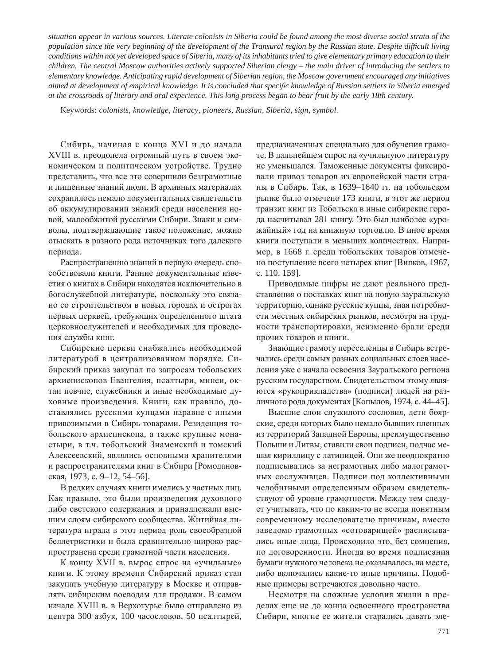*situation appear in various sources. Literate colonists in Siberia could be found among the most diverse social strata of the population since the very beginning of the development of the Transural region by the Russian state. Despite difficult living conditions within not yet developed space of Siberia, many of its inhabitants tried to give elementary primary education to their children. The central Moscow authorities actively supported Siberian clergy – the main driver of introducing the settlers to elementary knowledge. Anticipating rapid development of Siberian region, the Moscow government encouraged any initiatives aimed at development of empirical knowledge. It is concluded that speci¿ c knowledge of Russian settlers in Siberia emerged at the crossroads of literary and oral experience. This long process began to bear fruit by the early 18th century.*

Keywords: *colonists, knowledge, literacy, pioneers, Russian, Siberia, sign, symbol.*

Сибирь, начиная с конца XVI и до начала XVIII в. преодолела огромный путь в своем экономическом и политическом устройстве. Трудно представить, что все это совершили безграмотные и лишенные знаний люди. В архивных материалах сохранилось немало документальных свидетельств об аккумулировании знаний среди населения новой, малообжитой русскими Сибири. Знаки и символы, подтверждающие такое положение, можно отыскать в разного рода источниках того далекого периода.

Распространению знаний в первую очередь способствовали книги. Ранние документальные известия о книгах в Сибири находятся исключительно в богослужебной литературе, поскольку это связано со строительством в новых городах и острогах первых церквей, требующих определенного штата церковнослужителей и необходимых для проведения службы книг.

Сибирские церкви снабжались необходимой литературой в централизованном порядке. Сибирский приказ закупал по запросам тобольских архиепископов Евангелия, псалтыри, минеи, октаи певчие, служебники и иные необходимые духовные произведения. Книги, как правило, доставлялись русскими купцами наравне с иными привозимыми в Сибирь товарами. Резиденция тобольского архиепископа, а также крупные монастыри, в т.ч. тобольский Знаменский и томский Алексеевский, являлись основными хранителями и распространителями книг в Сибири [Ромодановская, 1973, с. 9-12, 54-56].

В редких случаях книги имелись у частных лиц. Как правило, это были произведения духовного либо светского содержания и принадлежали высшим слоям сибирского сообщества. Житийная литература играла в этот период роль своеобразной беллетристики и была сравнительно широко распространена среди грамотной части населения.

К концу XVII в. вырос спрос на «учильные» книги. К этому времени Сибирский приказ стал закупать учебную литературу в Москве и отправлять сибирским воеводам для продажи. В самом начале XVIII в. в Верхотурье было отправлено из центра 300 азбук, 100 часословов, 50 псалтырей, предназначенных специально для обучения грамоте. В дальнейшем спрос на «учильную» литературу не уменьшался. Таможенные документы фиксировали привоз товаров из европейской части страны в Сибирь. Так, в 1639–1640 гг. на тобольском рынке было отмечено 173 книги, в этот же период транзит книг из Тобольска в иные сибирские города насчитывал 281 книгу. Это был наиболее «урожайный» год на книжную торговлю. В иное время книги поступали в меньших количествах. Например, в 1668 г. среди тобольских товаров отмечено поступление всего четырех книг [Вилков, 1967, c. 110, 159].

Приводимые цифры не дают реального представления о поставках книг на новую зауральскую территорию, однако русские купцы, зная потребности местных сибирских рынков, несмотря на трудности транспортировки, неизменно брали среди прочих товаров и книги.

Знающие грамоту переселенцы в Сибирь встречались среди самых разных социальных слоев населения уже с начала освоения Зауральского региона русским государством. Свидетельством этому являются «рукоприкладства» (подписи) людей на различного рода документах [Копылов, 1974, с. 44–45].

Высшие слои служилого сословия, дети боярские, среди которых было немало бывших пленных из территорий Западной Европы, преимущественно Польши и Литвы, ставили свои подписи, подчас мешая кириллицу с латиницей. Они же неоднократно подписывались за неграмотных либо малограмотных сослуживцев. Подписи под коллективными челобитными определенным образом свидетельствуют об уровне грамотности. Между тем следует учитывать, что по каким-то не всегда понятным современному исследователю причинам, вместо заведомо грамотных «сотоварищей» расписывались иные лица. Происходило это, без сомнения, по договоренности. Иногда во время подписания бумаги нужного человека не оказывалось на месте, либо включались какие-то иные причины. Подобные примеры встречаются довольно часто.

Несмотря на сложные условия жизни в пределах еще не до конца освоенного пространства Сибири, многие ее жители старались давать эле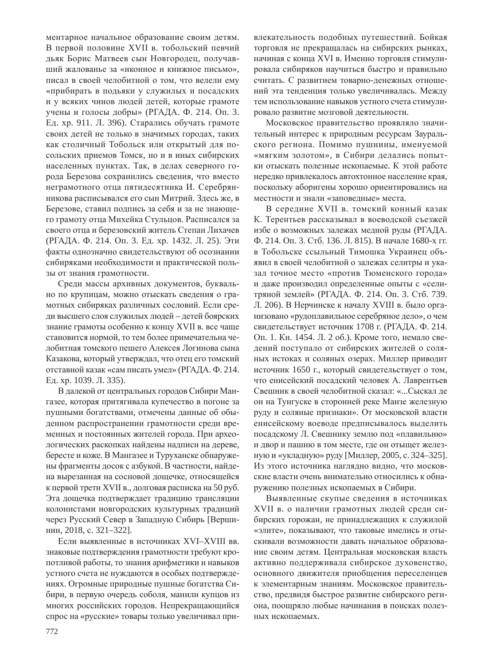ментарное начальное образование своим детям. В первой половине XVII в. тобольский певчий дьяк Борис Матвеев сын Новгородец, получавший жалованье за «иконное и книжное письмо», писал в своей челобитной о том, что велели ему «прибирать в подьяки у служилых и посадских и у всяких чинов людей детей, которые грамоте учены и голосы добры» (РГАДА. Ф. 214. Оп. 3. Ед. хр. 911. Л. 396). Старались обучать грамоте своих детей не только в значимых городах, таких как столичный Тобольск или открытый для посольских приемов Томск, но и в иных сибирских населенных пунктах. Так, в делах северного города Березова сохранились сведения, что вместо неграмотного отца пятидесятника И. Серебрянникова расписывался его сын Митрий. Здесь же, в Березове, ставил подпись за себя и за не знающего грамоту отца Михейка Стульцов. Расписался за своего отца и березовский житель Степан Лихачев (РГАДА. Ф. 214. Оп. 3. Ед. хр. 1432. Л. 25). Эти факты однозначно свидетельствуют об осознании сибиряками необходимости и практической пользы от знания грамотности.

Среди массы архивных документов, буквально по крупицам, можно отыскать сведения о грамотных сибиряках различных сословий. Если среди высшего слоя служилых людей – детей боярских знание грамоты особенно к концу XVII в. все чаще становится нормой, то тем более примечательна челобитная томского пешего Алексея Логинова сына Казакова, который утверждал, что отец его томский отставной казак «сам писать умел» (РГАДА. Ф. 214. Ед. хр. 1039. Л. 335).

В далекой от центральных городов Сибири Мангазее, которая притягивала купечество в погоне за пушными богатствами, отмечены данные об обыденном распространении грамотности среди временных и постоянных жителей города. При археологических раскопках найдены надписи на дереве, бересте и коже. В Мангазее и Туруханске обнаружены фрагменты досок с азбукой. В частности, найдена вырезанная на сосновой дощечке, относящейся к первой трети XVII в., долговая расписка на 50 руб. Эта дощечка подтверждает традицию трансляции колонистами новгородских культурных традиций через Русский Север в Западную Сибирь [Вершинин, 2018, с. 321-322].

Если выявленные в источниках XVI–XVIII вв. знаковые подтверждения грамотности требуют кропотливой работы, то знания арифметики и навыков устного счета не нуждаются в особых подтверждениях. Огромные природные пушные богатства Сибири, в первую очередь соболя, манили купцов из многих российских городов. Непрекращающийся спрос на «русские» товары только увеличивал привлекательность подобных путешествий. Бойкая торговля не прекращалась на сибирских рынках, начиная с конца XVI в. Именно торговля стимулировала сибиряков научиться быстро и правильно считать. С развитием товарно-денежных отношений эта тенденция только увеличивалась. Между тем использование навыков устного счета стимулировало развитие мозговой деятельности.

Московское правительство проявляло значительный интерес к природным ресурсам Зауральского региона. Помимо пушнины, именуемой «мягким золотом», в Сибири делались попытки отыскать полезные ископаемые. К этой работе нередко привлекалось автохтонное население края, поскольку аборигены хорошо ориентировались на местности и знали «заповедные» места.

В середине XVII в. томский конный казак К. Терентьев рассказывал в воеводской съезжей избе о возможных залежах медной руды (РГАДА. Ф. 214. Оп. 3. Стб. 136. Л. 815). В начале 1680-х гг. в Тобольске ссыльный Тимошка Украинец объявил в своей челобитной о залежах селитры и указал точное место «против Тюменского города» и даже производил определенные опыты с «селитряной землей» (РГАДА. Ф. 214. Оп. 3. Стб. 739. Л. 206). В Нерчинске к началу XVIII в. было организовано «рудоплавильное серебряное дело», о чем свидетельствует источник 1708 г. (РГАДА. Ф. 214. Оп. 1. Кн. 1454. Л. 2 об.). Кроме того, немало сведений поступало от сибирских жителей о соляных истоках и соляных озерах. Миллер приводит источник 1650 г., который свидетельствует о том, что енисейский посадский человек А. Лаврентьев Свешник в своей челобитной сказал: «...Сыскал де он на Тунгуске в сторонней реке Манзе железную руду и соляные признаки». От московской власти енисейскому воеводе предписывалось выделить посадскому Л. Свешнику землю под «плавильню» и двор и пашню в том месте, где он отыщет железную и «укладную» руду [Миллер, 2005, с. 324-325]. Из этого источника наглядно видно, что московские власти очень внимательно относились к обнаружению полезных ископаемых в Сибири.

Выявленные скупые сведения в источниках XVII в. о наличии грамотных людей среди сибирских горожан, не принадлежащих к служилой «элите», показывают, что таковые имелись и отыскивали возможности давать начальное образование своим детям. Центральная московская власть активно поддерживала сибирское духовенство, основного движителя приобщения переселенцев к элементарным знаниям. Московское правительство, предвидя быстрое развитие сибирского региона, поощряло любые начинания в поисках полезных ископаемых.